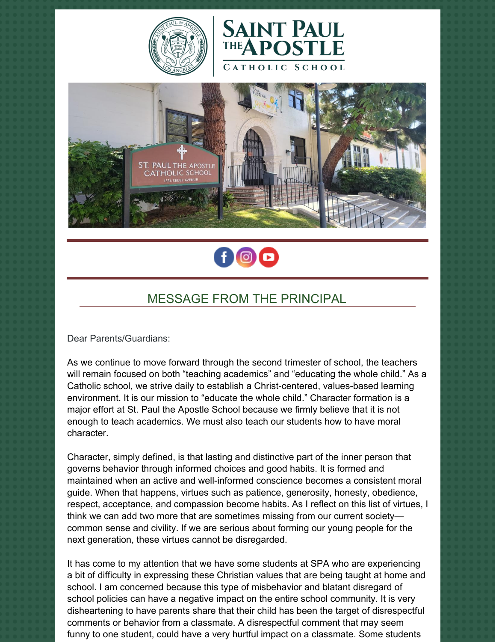







## MESSAGE FROM THE PRINCIPAL

Dear Parents/Guardians:

As we continue to move forward through the second trimester of school, the teachers will remain focused on both "teaching academics" and "educating the whole child." As a Catholic school, we strive daily to establish a Christ-centered, values-based learning environment. It is our mission to "educate the whole child." Character formation is a major effort at St. Paul the Apostle School because we firmly believe that it is not enough to teach academics. We must also teach our students how to have moral character.

Character, simply defined, is that lasting and distinctive part of the inner person that governs behavior through informed choices and good habits. It is formed and maintained when an active and well-informed conscience becomes a consistent moral guide. When that happens, virtues such as patience, generosity, honesty, obedience, respect, acceptance, and compassion become habits. As I reflect on this list of virtues, I think we can add two more that are sometimes missing from our current society common sense and civility. If we are serious about forming our young people for the next generation, these virtues cannot be disregarded.

It has come to my attention that we have some students at SPA who are experiencing a bit of difficulty in expressing these Christian values that are being taught at home and school. I am concerned because this type of misbehavior and blatant disregard of school policies can have a negative impact on the entire school community. It is very disheartening to have parents share that their child has been the target of disrespectful comments or behavior from a classmate. A disrespectful comment that may seem funny to one student, could have a very hurtful impact on a classmate. Some students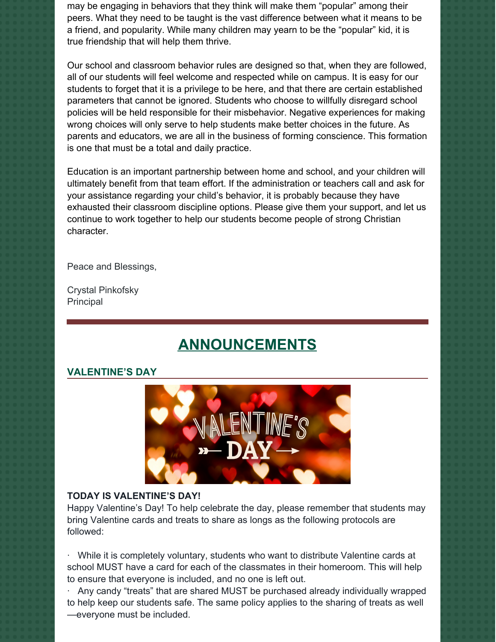may be engaging in behaviors that they think will make them "popular" among their peers. What they need to be taught is the vast difference between what it means to be a friend, and popularity. While many children may yearn to be the "popular" kid, it is true friendship that will help them thrive.

Our school and classroom behavior rules are designed so that, when they are followed, all of our students will feel welcome and respected while on campus. It is easy for our students to forget that it is a privilege to be here, and that there are certain established parameters that cannot be ignored. Students who choose to willfully disregard school policies will be held responsible for their misbehavior. Negative experiences for making wrong choices will only serve to help students make better choices in the future. As parents and educators, we are all in the business of forming conscience. This formation is one that must be a total and daily practice.

Education is an important partnership between home and school, and your children will ultimately benefit from that team effort. If the administration or teachers call and ask for your assistance regarding your child's behavior, it is probably because they have exhausted their classroom discipline options. Please give them your support, and let us continue to work together to help our students become people of strong Christian character.

Peace and Blessings,

Crystal Pinkofsky Principal

# **ANNOUNCEMENTS**

#### **VALENTINE'S DAY**



#### **TODAY IS VALENTINE'S DAY!**

Happy Valentine's Day! To help celebrate the day, please remember that students may bring Valentine cards and treats to share as longs as the following protocols are followed:

While it is completely voluntary, students who want to distribute Valentine cards at school MUST have a card for each of the classmates in their homeroom. This will help to ensure that everyone is included, and no one is left out.

· Any candy "treats" that are shared MUST be purchased already individually wrapped to help keep our students safe. The same policy applies to the sharing of treats as well —everyone must be included.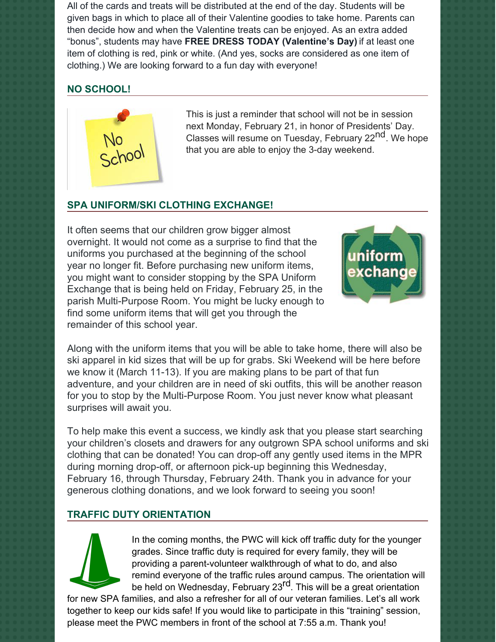All of the cards and treats will be distributed at the end of the day. Students will be given bags in which to place all of their Valentine goodies to take home. Parents can then decide how and when the Valentine treats can be enjoyed. As an extra added "bonus", students may have **FREE DRESS TODAY (Valentine's Day)** if at least one item of clothing is red, pink or white. (And yes, socks are considered as one item of clothing.) We are looking forward to a fun day with everyone!

## **NO SCHOOL!**



This is just a reminder that school will not be in session next Monday, February 21, in honor of Presidents' Day. Classes will resume on Tuesday, February 22<sup>nd</sup>. We hope that you are able to enjoy the 3-day weekend.

## **SPA UNIFORM/SKI CLOTHING EXCHANGE!**

It often seems that our children grow bigger almost overnight. It would not come as a surprise to find that the uniforms you purchased at the beginning of the school year no longer fit. Before purchasing new uniform items, you might want to consider stopping by the SPA Uniform Exchange that is being held on Friday, February 25, in the parish Multi-Purpose Room. You might be lucky enough to find some uniform items that will get you through the remainder of this school year.



Along with the uniform items that you will be able to take home, there will also be ski apparel in kid sizes that will be up for grabs. Ski Weekend will be here before we know it (March 11-13). If you are making plans to be part of that fun adventure, and your children are in need of ski outfits, this will be another reason for you to stop by the Multi-Purpose Room. You just never know what pleasant surprises will await you.

To help make this event a success, we kindly ask that you please start searching your children's closets and drawers for any outgrown SPA school uniforms and ski clothing that can be donated! You can drop-off any gently used items in the MPR during morning drop-off, or afternoon pick-up beginning this Wednesday, February 16, through Thursday, February 24th. Thank you in advance for your generous clothing donations, and we look forward to seeing you soon!

## **TRAFFIC DUTY ORIENTATION**



In the coming months, the PWC will kick off traffic duty for the younger grades. Since traffic duty is required for every family, they will be providing a parent-volunteer walkthrough of what to do, and also remind everyone of the traffic rules around campus. The orientation will be held on Wednesday, February 23<sup>rd</sup>. This will be a great orientation

for new SPA families, and also a refresher for all of our veteran families. Let's all work together to keep our kids safe! If you would like to participate in this "training" session, please meet the PWC members in front of the school at 7:55 a.m. Thank you!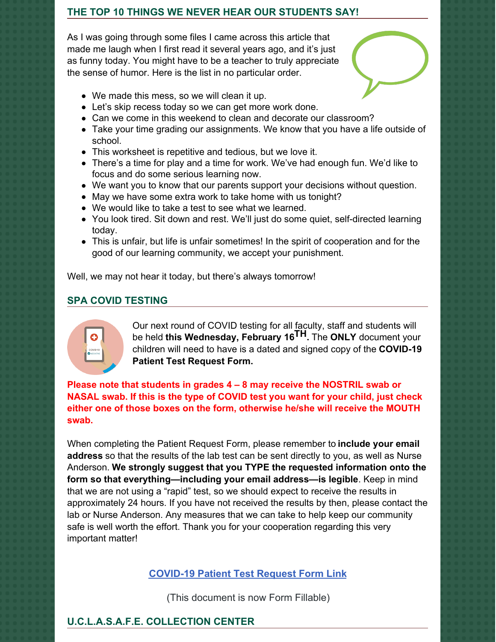#### **THE TOP 10 THINGS WE NEVER HEAR OUR STUDENTS SAY!**

As I was going through some files I came across this article that made me laugh when I first read it several years ago, and it's just as funny today. You might have to be a teacher to truly appreciate the sense of humor. Here is the list in no particular order.



- We made this mess, so we will clean it up.
- Let's skip recess today so we can get more work done.
- Can we come in this weekend to clean and decorate our classroom?
- Take your time grading our assignments. We know that you have a life outside of school.
- This worksheet is repetitive and tedious, but we love it.
- There's a time for play and a time for work. We've had enough fun. We'd like to focus and do some serious learning now.
- We want you to know that our parents support your decisions without question.
- May we have some extra work to take home with us tonight?
- We would like to take a test to see what we learned.
- You look tired. Sit down and rest. We'll just do some quiet, self-directed learning today.
- This is unfair, but life is unfair sometimes! In the spirit of cooperation and for the good of our learning community, we accept your punishment.

Well, we may not hear it today, but there's always tomorrow!

## **SPA COVID TESTING**



Our next round of COVID testing for all faculty, staff and students will be held **this Wednesday, February 16 TH.** The **ONLY** document your children will need to have is a dated and signed copy of the **COVID-19 Patient Test Request Form.**

**Please note that students in grades 4 – 8 may receive the NOSTRIL swab or NASAL swab. If this is the type of COVID test you want for your child, just check either one of those boxes on the form, otherwise he/she will receive the MOUTH swab.**

When completing the Patient Request Form, please remember to **include your email address** so that the results of the lab test can be sent directly to you, as well as Nurse Anderson. **We strongly suggest that you TYPE the requested information onto the form so that everything—including your email address—is legible**. Keep in mind that we are not using a "rapid" test, so we should expect to receive the results in approximately 24 hours. If you have not received the results by then, please contact the lab or Nurse Anderson. Any measures that we can take to help keep our community safe is well worth the effort. Thank you for your cooperation regarding this very important matter!

## **[COVID-19](https://school.sp-apostle.org/wp-content/uploads/2021/11/PATIENT-REQ-FORM-FILLABLE.pdf) Patient Test Request Form Link**

(This document is now Form Fillable)

## **U.C.L.A.S.A.F.E. COLLECTION CENTER**